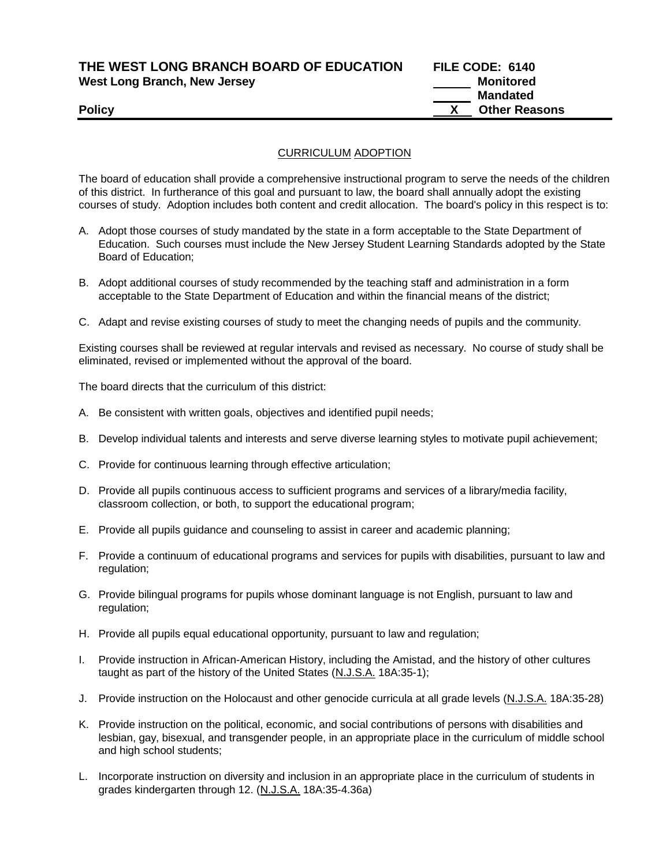| THE WEST LONG BRANCH BOARD OF EDUCATION | FILE CODE: 6140 |
|-----------------------------------------|-----------------|
| West Long Branch, New Jersey            | Monitored       |
|                                         | Mandated        |

**Mandated Policy X Other Reasons**

## CURRICULUM ADOPTION

The board of education shall provide a comprehensive instructional program to serve the needs of the children of this district. In furtherance of this goal and pursuant to law, the board shall annually adopt the existing courses of study. Adoption includes both content and credit allocation. The board's policy in this respect is to:

- A. Adopt those courses of study mandated by the state in a form acceptable to the State Department of Education. Such courses must include the New Jersey Student Learning Standards adopted by the State Board of Education;
- B. Adopt additional courses of study recommended by the teaching staff and administration in a form acceptable to the State Department of Education and within the financial means of the district;
- C. Adapt and revise existing courses of study to meet the changing needs of pupils and the community.

Existing courses shall be reviewed at regular intervals and revised as necessary. No course of study shall be eliminated, revised or implemented without the approval of the board.

The board directs that the curriculum of this district:

- A. Be consistent with written goals, objectives and identified pupil needs;
- B. Develop individual talents and interests and serve diverse learning styles to motivate pupil achievement;
- C. Provide for continuous learning through effective articulation;
- D. Provide all pupils continuous access to sufficient programs and services of a library/media facility, classroom collection, or both, to support the educational program;
- E. Provide all pupils guidance and counseling to assist in career and academic planning;
- F. Provide a continuum of educational programs and services for pupils with disabilities, pursuant to law and regulation;
- G. Provide bilingual programs for pupils whose dominant language is not English, pursuant to law and regulation;
- H. Provide all pupils equal educational opportunity, pursuant to law and regulation;
- I. Provide instruction in African-American History, including the Amistad, and the history of other cultures taught as part of the history of the United States (N.J.S.A. 18A:35-1);
- J. Provide instruction on the Holocaust and other genocide curricula at all grade levels (N.J.S.A. 18A:35-28)
- K. Provide instruction on the political, economic, and social contributions of persons with disabilities and lesbian, gay, bisexual, and transgender people, in an appropriate place in the curriculum of middle school and high school students;
- L. Incorporate instruction on diversity and inclusion in an appropriate place in the curriculum of students in grades kindergarten through 12. (N.J.S.A. 18A:35-4.36a)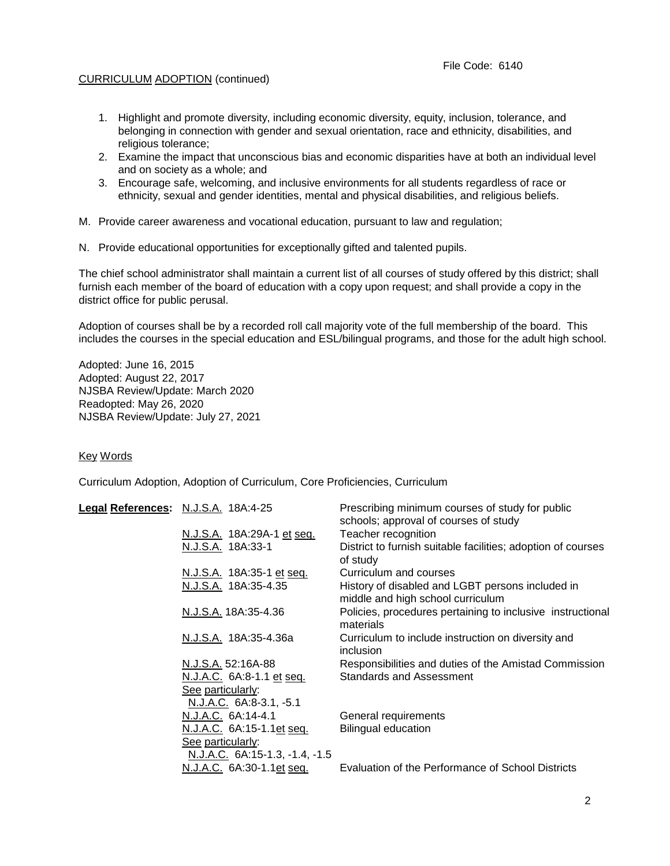## CURRICULUM ADOPTION (continued)

- 1. Highlight and promote diversity, including economic diversity, equity, inclusion, tolerance, and belonging in connection with gender and sexual orientation, race and ethnicity, disabilities, and religious tolerance;
- 2. Examine the impact that unconscious bias and economic disparities have at both an individual level and on society as a whole; and
- 3. Encourage safe, welcoming, and inclusive environments for all students regardless of race or ethnicity, sexual and gender identities, mental and physical disabilities, and religious beliefs.
- M. Provide career awareness and vocational education, pursuant to law and regulation;
- N. Provide educational opportunities for exceptionally gifted and talented pupils.

The chief school administrator shall maintain a current list of all courses of study offered by this district; shall furnish each member of the board of education with a copy upon request; and shall provide a copy in the district office for public perusal.

Adoption of courses shall be by a recorded roll call majority vote of the full membership of the board. This includes the courses in the special education and ESL/bilingual programs, and those for the adult high school.

Adopted: June 16, 2015 Adopted: August 22, 2017 NJSBA Review/Update: March 2020 Readopted: May 26, 2020 NJSBA Review/Update: July 27, 2021

Key Words

Curriculum Adoption, Adoption of Curriculum, Core Proficiencies, Curriculum

| Legal References: N.J.S.A. 18A:4-25 |                                | Prescribing minimum courses of study for public                                       |
|-------------------------------------|--------------------------------|---------------------------------------------------------------------------------------|
|                                     |                                | schools; approval of courses of study                                                 |
|                                     | N.J.S.A. 18A:29A-1 et seq.     | Teacher recognition                                                                   |
|                                     | N.J.S.A. 18A:33-1              | District to furnish suitable facilities; adoption of courses<br>of study              |
|                                     | N.J.S.A. 18A:35-1 et seq.      | Curriculum and courses                                                                |
|                                     | N.J.S.A. 18A:35-4.35           | History of disabled and LGBT persons included in<br>middle and high school curriculum |
|                                     | N.J.S.A. 18A:35-4.36           | Policies, procedures pertaining to inclusive instructional<br>materials               |
|                                     | N.J.S.A. 18A:35-4.36a          | Curriculum to include instruction on diversity and<br>inclusion                       |
|                                     | N.J.S.A. 52:16A-88             | Responsibilities and duties of the Amistad Commission                                 |
|                                     | N.J.A.C. 6A:8-1.1 et seq.      | Standards and Assessment                                                              |
|                                     | See particularly:              |                                                                                       |
|                                     | N.J.A.C. 6A:8-3.1, -5.1        |                                                                                       |
|                                     | N.J.A.C. 6A:14-4.1             | General requirements                                                                  |
|                                     | N.J.A.C. 6A:15-1.1et seq.      | <b>Bilingual education</b>                                                            |
|                                     | See particularly:              |                                                                                       |
|                                     | N.J.A.C. 6A:15-1.3, -1.4, -1.5 |                                                                                       |
|                                     | N.J.A.C. 6A:30-1.1et seq.      | Evaluation of the Performance of School Districts                                     |